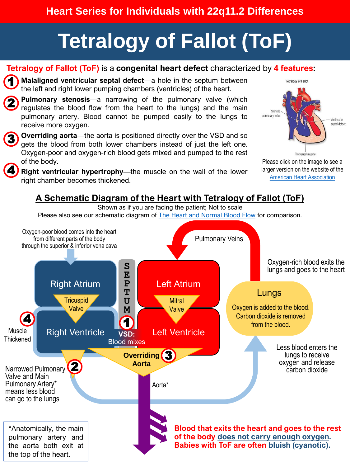## **Heart Series for Individuals with 22q11.2 Differences**

# **Tetralogy of Fallot (ToF)**

#### **Tetralogy of Fallot (ToF)** is a **congenital heart defect** characterized by **4 features:**

**1. Malaligned ventricular septal defect**—a hole in the septum between the left and right lower pumping chambers (ventricles) of the heart. 1

**2. Pulmonary stenosis**—a narrowing of the pulmonary valve (which regulates the blood flow from the heart to the lungs) and the main pulmonary artery. Blood cannot be pumped easily to the lungs to receive more oxygen. 2

**3. Overriding aorta**—the aorta is positioned directly over the VSD and so gets the blood from both lower chambers instead of just the left one. Oxygen-poor and oxygen-rich blood gets mixed and pumped to the rest of the body. 3 4

**4. Right ventricular hypertrophy**—the muscle on the wall of the lower right chamber becomes thickened.



[Please click on the image to see a](https://www.heart.org/en/health-topics/congenital-heart-defects/about-congenital-heart-defects/tetralogy-of-fallot)  larger version on the website of the [American Heart Association](https://www.heart.org/en/health-topics/congenital-heart-defects/about-congenital-heart-defects/tetralogy-of-fallot)